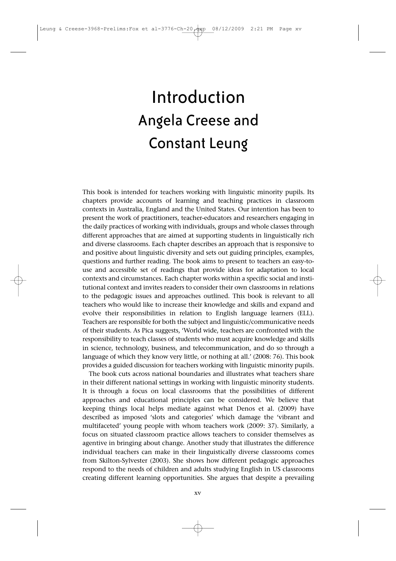# Introduction Angela Creese and Constant Leung

This book is intended for teachers working with linguistic minority pupils. Its chapters provide accounts of learning and teaching practices in classroom contexts in Australia, England and the United States. Our intention has been to present the work of practitioners, teacher-educators and researchers engaging in the daily practices of working with individuals, groups and whole classes through different approaches that are aimed at supporting students in linguistically rich and diverse classrooms. Each chapter describes an approach that is responsive to and positive about linguistic diversity and sets out guiding principles, examples, questions and further reading. The book aims to present to teachers an easy-touse and accessible set of readings that provide ideas for adaptation to local contexts and circumstances. Each chapter works within a specific social and institutional context and invites readers to consider their own classrooms in relations to the pedagogic issues and approaches outlined. This book is relevant to all teachers who would like to increase their knowledge and skills and expand and evolve their responsibilities in relation to English language learners (ELL). Teachers are responsible for both the subject and linguistic/communicative needs of their students. As Pica suggests, 'World wide, teachers are confronted with the responsibility to teach classes of students who must acquire knowledge and skills in science, technology, business, and telecommunication, and do so through a language of which they know very little, or nothing at all.' (2008: 76). This book provides a guided discussion for teachers working with linguistic minority pupils.

The book cuts across national boundaries and illustrates what teachers share in their different national settings in working with linguistic minority students. It is through a focus on local classrooms that the possibilities of different approaches and educational principles can be considered. We believe that keeping things local helps mediate against what Denos et al. (2009) have described as imposed 'slots and categories' which damage the 'vibrant and multifaceted' young people with whom teachers work (2009: 37). Similarly, a focus on situated classroom practice allows teachers to consider themselves as agentive in bringing about change. Another study that illustrates the difference individual teachers can make in their linguistically diverse classrooms comes from Skilton-Sylvester (2003). She shows how different pedagogic approaches respond to the needs of children and adults studying English in US classrooms creating different learning opportunities. She argues that despite a prevailing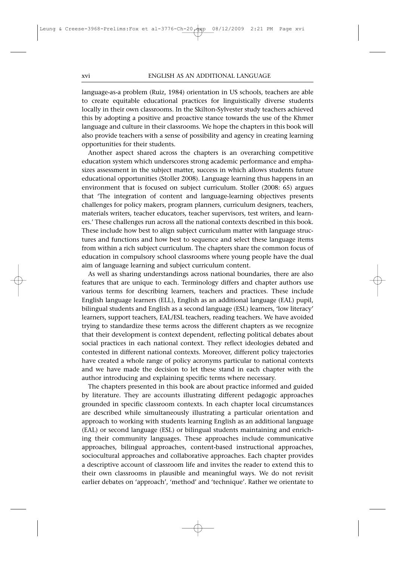### xvi ENGLISH AS AN ADDITIONAL LANGUAGE

language-as-a problem (Ruiz, 1984) orientation in US schools, teachers are able to create equitable educational practices for linguistically diverse students locally in their own classrooms. In the Skilton-Sylvester study teachers achieved this by adopting a positive and proactive stance towards the use of the Khmer language and culture in their classrooms. We hope the chapters in this book will also provide teachers with a sense of possibility and agency in creating learning opportunities for their students.

Another aspect shared across the chapters is an overarching competitive education system which underscores strong academic performance and emphasizes assessment in the subject matter, success in which allows students future educational opportunities (Stoller 2008). Language learning thus happens in an environment that is focused on subject curriculum. Stoller (2008: 65) argues that 'The integration of content and language-learning objectives presents challenges for policy makers, program planners, curriculum designers, teachers, materials writers, teacher educators, teacher supervisors, test writers, and learners.' These challenges run across all the national contexts described in this book. These include how best to align subject curriculum matter with language structures and functions and how best to sequence and select these language items from within a rich subject curriculum. The chapters share the common focus of education in compulsory school classrooms where young people have the dual aim of language learning and subject curriculum content.

As well as sharing understandings across national boundaries, there are also features that are unique to each. Terminology differs and chapter authors use various terms for describing learners, teachers and practices. These include English language learners (ELL), English as an additional language (EAL) pupil, bilingual students and English as a second language (ESL) learners, 'low literacy' learners, support teachers, EAL/ESL teachers, reading teachers. We have avoided trying to standardize these terms across the different chapters as we recognize that their development is context dependent, reflecting political debates about social practices in each national context. They reflect ideologies debated and contested in different national contexts. Moreover, different policy trajectories have created a whole range of policy acronyms particular to national contexts and we have made the decision to let these stand in each chapter with the author introducing and explaining specific terms where necessary.

The chapters presented in this book are about practice informed and guided by literature. They are accounts illustrating different pedagogic approaches grounded in specific classroom contexts. In each chapter local circumstances are described while simultaneously illustrating a particular orientation and approach to working with students learning English as an additional language (EAL) or second language (ESL) or bilingual students maintaining and enriching their community languages. These approaches include communicative approaches, bilingual approaches, content-based instructional approaches, sociocultural approaches and collaborative approaches. Each chapter provides a descriptive account of classroom life and invites the reader to extend this to their own classrooms in plausible and meaningful ways. We do not revisit earlier debates on 'approach', 'method' and 'technique'. Rather we orientate to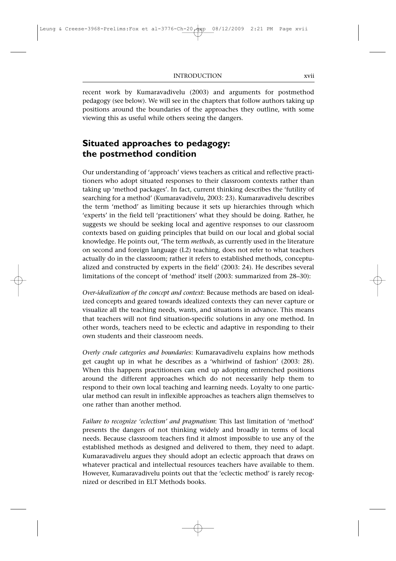## INTRODUCTION xvii

recent work by Kumaravadivelu (2003) and arguments for postmethod pedagogy (see below). We will see in the chapters that follow authors taking up positions around the boundaries of the approaches they outline, with some viewing this as useful while others seeing the dangers.

# **Situated approaches to pedagogy: the postmethod condition**

Our understanding of 'approach' views teachers as critical and reflective practitioners who adopt situated responses to their classroom contexts rather than taking up 'method packages'. In fact, current thinking describes the 'futility of searching for a method' (Kumaravadivelu, 2003: 23). Kumaravadivelu describes the term 'method' as limiting because it sets up hierarchies through which 'experts' in the field tell 'practitioners' what they should be doing. Rather, he suggests we should be seeking local and agentive responses to our classroom contexts based on guiding principles that build on our local and global social knowledge. He points out, 'The term *methods*, as currently used in the literature on second and foreign language (L2) teaching, does not refer to what teachers actually do in the classroom; rather it refers to established methods, conceptualized and constructed by experts in the field' (2003: 24). He describes several limitations of the concept of 'method' itself (2003: summarized from 28–30):

*Over-idealization of the concept and context*: Because methods are based on idealized concepts and geared towards idealized contexts they can never capture or visualize all the teaching needs, wants, and situations in advance. This means that teachers will not find situation-specific solutions in any one method. In other words, teachers need to be eclectic and adaptive in responding to their own students and their classroom needs.

*Overly crude categories and boundaries*: Kumaravadivelu explains how methods get caught up in what he describes as a 'whirlwind of fashion' (2003: 28). When this happens practitioners can end up adopting entrenched positions around the different approaches which do not necessarily help them to respond to their own local teaching and learning needs. Loyalty to one particular method can result in inflexible approaches as teachers align themselves to one rather than another method.

*Failure to recognize 'eclectism' and pragmatism*: This last limitation of 'method' presents the dangers of not thinking widely and broadly in terms of local needs. Because classroom teachers find it almost impossible to use any of the established methods as designed and delivered to them, they need to adapt. Kumaravadivelu argues they should adopt an eclectic approach that draws on whatever practical and intellectual resources teachers have available to them. However, Kumaravadivelu points out that the 'eclectic method' is rarely recognized or described in ELT Methods books.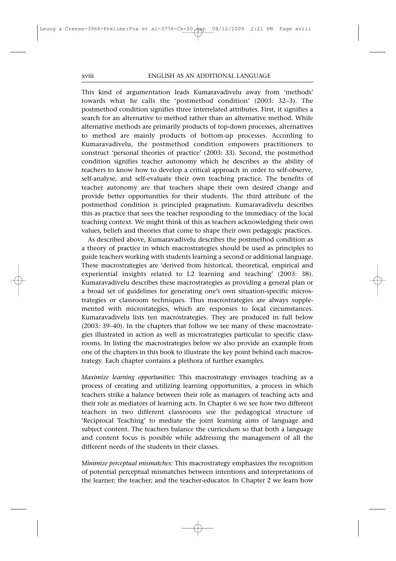### xviii ENGLISH AS AN ADDITIONAL LANGUAGE

This kind of argumentation leads Kumaravadivelu away from 'methods' towards what he calls the 'postmethod condition' (2003: 32–3). The postmethod condition signifies three interrelated attributes. First, it signifies a search for an alternative to method rather than an alternative method. While alternative methods are primarily products of top-down processes, alternatives to method are mainly products of bottom-up processes. According to Kumaravadivelu, the postmethod condition empowers practitioners to construct 'personal theories of practice' (2003: 33). Second, the postmethod condition signifies teacher autonomy which he describes as the ability of teachers to know how to develop a critical approach in order to self-observe, self-analyse, and self-evaluate their own teaching practice. The benefits of teacher autonomy are that teachers shape their own desired change and provide better opportunities for their students. The third attribute of the postmethod condition is principled pragmatism. Kumaravadivelu describes this as practice that sees the teacher responding to the immediacy of the local teaching context. We might think of this as teachers acknowledging their own values, beliefs and theories that come to shape their own pedagogic practices.

As described above, Kumaravadivelu describes the postmethod condition as a theory of practice in which macrostrategies should be used as principles to guide teachers working with students learning a second or additional language. These macrostrategies are 'derived from historical, theoretical, empirical and experiential insights related to L2 learning and teaching' (2003: 38). Kumaravadivelu describes these macrostrategies as providing a general plan or a broad set of guidelines for generating one's own situation-specific microstrategies or classroom techniques. Thus macrostrategies are always supplemented with microstategies, which are responses to local circumstances. Kumaravadivelu lists ten macrostrategies. They are produced in full below (2003: 39–40). In the chapters that follow we see many of these macrostrategies illustrated in action as well as microstrategies particular to specific classrooms. In listing the macrostrategies below we also provide an example from one of the chapters in this book to illustrate the key point behind each macrostrategy. Each chapter contains a plethora of further examples.

*Maximize learning opportunities*: This macrostrategy envisages teaching as a process of creating and utilizing learning opportunities, a process in which teachers strike a balance between their role as managers of teaching acts and their role as mediators of learning acts. In Chapter 6 we see how two different teachers in two different classrooms use the pedagogical structure of 'Reciprocal Teaching' to mediate the joint learning aims of language and subject content. The teachers balance the curriculum so that both a language and content focus is possible while addressing the management of all the different needs of the students in their classes.

*Minimize perceptual mismatches*: This macrostrategy emphasizes the recognition of potential perceptual mismatches between intentions and interpretations of the learner; the teacher; and the teacher-educator. In Chapter 2 we learn how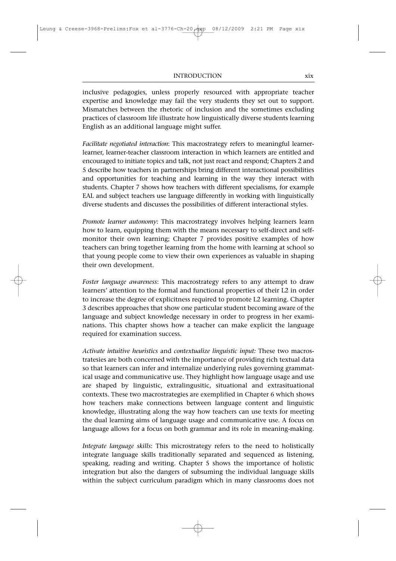# INTRODUCTION xix

inclusive pedagogies, unless properly resourced with appropriate teacher expertise and knowledge may fail the very students they set out to support. Mismatches between the rhetoric of inclusion and the sometimes excluding practices of classroom life illustrate how linguistically diverse students learning English as an additional language might suffer.

*Facilitate negotiated interaction*: This macrostrategy refers to meaningful learnerlearner, learner-teacher classroom interaction in which learners are entitled and encouraged to initiate topics and talk, not just react and respond; Chapters 2 and 5 describe how teachers in partnerships bring different interactional possibilities and opportunities for teaching and learning in the way they interact with students. Chapter 7 shows how teachers with different specialisms, for example EAL and subject teachers use language differently in working with linguistically diverse students and discusses the possibilities of different interactional styles.

*Promote learner autonomy*: This macrostrategy involves helping learners learn how to learn, equipping them with the means necessary to self-direct and selfmonitor their own learning; Chapter 7 provides positive examples of how teachers can bring together learning from the home with learning at school so that young people come to view their own experiences as valuable in shaping their own development.

*Foster language awareness*: This macrostrategy refers to any attempt to draw learners' attention to the formal and functional properties of their L2 in order to increase the degree of explicitness required to promote L2 learning. Chapter 3 describes approaches that show one particular student becoming aware of the language and subject knowledge necessary in order to progress in her examinations. This chapter shows how a teacher can make explicit the language required for examination success.

*Activate intuitive heuristics* and *contextualize linguistic input:* These two macrostratesies are both concerned with the importance of providing rich textual data so that learners can infer and internalize underlying rules governing grammatical usage and communicative use. They highlight how language usage and use are shaped by linguistic, extralingusitic, situational and extrasituational contexts. These two macrostrategies are exemplified in Chapter 6 which shows how teachers make connections between language content and linguistic knowledge, illustrating along the way how teachers can use texts for meeting the dual learning aims of language usage and communicative use. A focus on language allows for a focus on both grammar and its role in meaning-making.

*Integrate language skills*: This microstrategy refers to the need to holistically integrate language skills traditionally separated and sequenced as listening, speaking, reading and writing. Chapter 5 shows the importance of holistic integration but also the dangers of subsuming the individual language skills within the subject curriculum paradigm which in many classrooms does not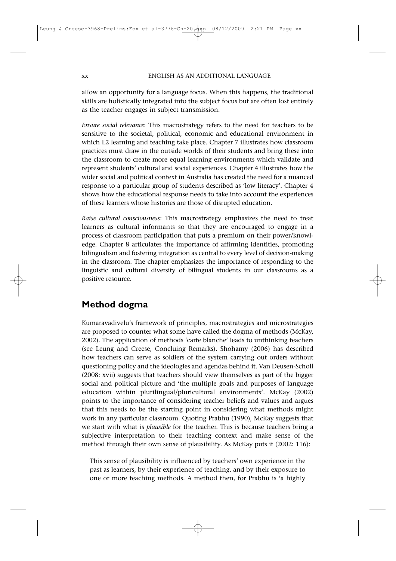### xx ENGLISH AS AN ADDITIONAL LANGUAGE

allow an opportunity for a language focus. When this happens, the traditional skills are holistically integrated into the subject focus but are often lost entirely as the teacher engages in subject transmission.

*Ensure social relevance*: This macrostrategy refers to the need for teachers to be sensitive to the societal, political, economic and educational environment in which L2 learning and teaching take place. Chapter 7 illustrates how classroom practices must draw in the outside worlds of their students and bring these into the classroom to create more equal learning environments which validate and represent students' cultural and social experiences. Chapter 4 illustrates how the wider social and political context in Australia has created the need for a nuanced response to a particular group of students described as 'low literacy'. Chapter 4 shows how the educational response needs to take into account the experiences of these learners whose histories are those of disrupted education.

*Raise cultural consciousness*: This macrostrategy emphasizes the need to treat learners as cultural informants so that they are encouraged to engage in a process of classroom participation that puts a premium on their power/knowledge. Chapter 8 articulates the importance of affirming identities, promoting bilingualism and fostering integration as central to every level of decision-making in the classroom. The chapter emphasizes the importance of responding to the linguistic and cultural diversity of bilingual students in our classrooms as a positive resource.

# **Method dogma**

Kumaravadivelu's framework of principles, macrostrategies and microstrategies are proposed to counter what some have called the dogma of methods (McKay, 2002). The application of methods 'carte blanche' leads to unthinking teachers (see Leung and Creese, Concluing Remarks). Shohamy (2006) has described how teachers can serve as soldiers of the system carrying out orders without questioning policy and the ideologies and agendas behind it. Van Deusen-Scholl (2008: xvii) suggests that teachers should view themselves as part of the bigger social and political picture and 'the multiple goals and purposes of language education within plurilingual/pluricultural environments'. McKay (2002) points to the importance of considering teacher beliefs and values and argues that this needs to be the starting point in considering what methods might work in any particular classroom. Quoting Prabhu (1990), McKay suggests that we start with what is *plausible* for the teacher. This is because teachers bring a subjective interpretation to their teaching context and make sense of the method through their own sense of plausibility. As McKay puts it (2002: 116):

This sense of plausibility is influenced by teachers' own experience in the past as learners, by their experience of teaching, and by their exposure to one or more teaching methods. A method then, for Prabhu is 'a highly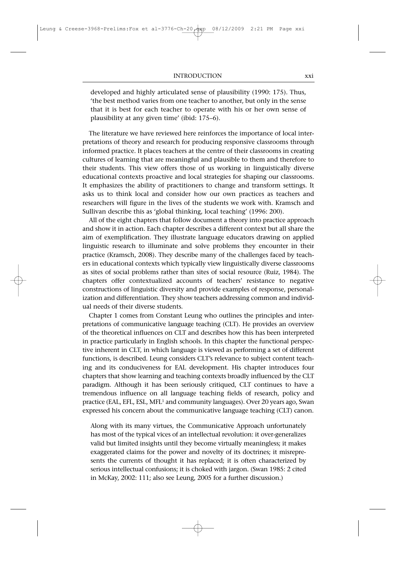## INTRODUCTION xxi

developed and highly articulated sense of plausibility (1990: 175). Thus, 'the best method varies from one teacher to another, but only in the sense that it is best for each teacher to operate with his or her own sense of plausibility at any given time' (ibid: 175–6).

The literature we have reviewed here reinforces the importance of local interpretations of theory and research for producing responsive classrooms through informed practice. It places teachers at the centre of their classrooms in creating cultures of learning that are meaningful and plausible to them and therefore to their students. This view offers those of us working in linguistically diverse educational contexts proactive and local strategies for shaping our classrooms. It emphasizes the ability of practitioners to change and transform settings. It asks us to think local and consider how our own practices as teachers and researchers will figure in the lives of the students we work with. Kramsch and Sullivan describe this as 'global thinking, local teaching' (1996: 200).

All of the eight chapters that follow document a theory into practice approach and show it in action. Each chapter describes a different context but all share the aim of exemplification. They illustrate language educators drawing on applied linguistic research to illuminate and solve problems they encounter in their practice (Kramsch, 2008). They describe many of the challenges faced by teachers in educational contexts which typically view linguistically diverse classrooms as sites of social problems rather than sites of social resource (Ruiz, 1984). The chapters offer contextualized accounts of teachers' resistance to negative constructions of linguistic diversity and provide examples of response, personalization and differentiation. They show teachers addressing common and individual needs of their diverse students.

Chapter 1 comes from Constant Leung who outlines the principles and interpretations of communicative language teaching (CLT). He provides an overview of the theoretical influences on CLT and describes how this has been interpreted in practice particularly in English schools. In this chapter the functional perspective inherent in CLT, in which language is viewed as performing a set of different functions, is described. Leung considers CLT's relevance to subject content teaching and its conduciveness for EAL development. His chapter introduces four chapters that show learning and teaching contexts broadly influenced by the CLT paradigm. Although it has been seriously critiqued, CLT continues to have a tremendous influence on all language teaching fields of research, policy and practice (EAL, EFL, ESL, MFL<sup>1</sup> and community languages). Over 20 years ago, Swan expressed his concern about the communicative language teaching (CLT) canon.

Along with its many virtues, the Communicative Approach unfortunately has most of the typical vices of an intellectual revolution: it over-generalizes valid but limited insights until they become virtually meaningless; it makes exaggerated claims for the power and novelty of its doctrines; it misrepresents the currents of thought it has replaced; it is often characterized by serious intellectual confusions; it is choked with jargon. (Swan 1985: 2 cited in McKay, 2002: 111; also see Leung, 2005 for a further discussion.)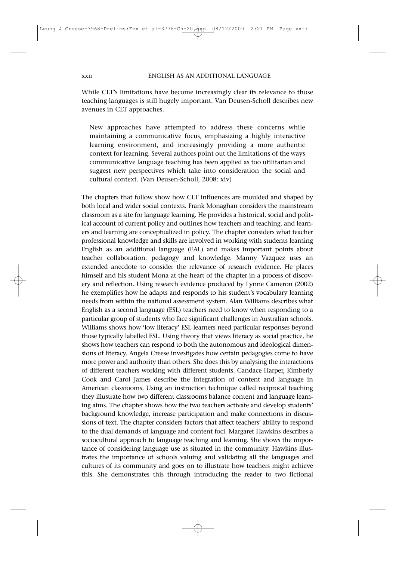xxii ENGLISH AS AN ADDITIONAL LANGUAGE

While CLT's limitations have become increasingly clear its relevance to those teaching languages is still hugely important. Van Deusen-Scholl describes new avenues in CLT approaches.

New approaches have attempted to address these concerns while maintaining a communicative focus, emphasizing a highly interactive learning environment, and increasingly providing a more authentic context for learning. Several authors point out the limitations of the ways communicative language teaching has been applied as too utilitarian and suggest new perspectives which take into consideration the social and cultural context. (Van Deusen-Scholl, 2008: xiv)

The chapters that follow show how CLT influences are moulded and shaped by both local and wider social contexts. Frank Monaghan considers the mainstream classroom as a site for language learning. He provides a historical, social and political account of current policy and outlines how teachers and teaching, and learners and learning are conceptualized in policy. The chapter considers what teacher professional knowledge and skills are involved in working with students learning English as an additional language (EAL) and makes important points about teacher collaboration, pedagogy and knowledge. Manny Vazquez uses an extended anecdote to consider the relevance of research evidence. He places himself and his student Mona at the heart of the chapter in a process of discovery and reflection. Using research evidence produced by Lynne Cameron (2002) he exemplifies how he adapts and responds to his student's vocabulary learning needs from within the national assessment system. Alan Williams describes what English as a second language (ESL) teachers need to know when responding to a particular group of students who face significant challenges in Australian schools. Williams shows how 'low literacy' ESL learners need particular responses beyond those typically labelled ESL. Using theory that views literacy as social practice, he shows how teachers can respond to both the autonomous and ideological dimensions of literacy. Angela Creese investigates how certain pedagogies come to have more power and authority than others. She does this by analysing the interactions of different teachers working with different students. Candace Harper, Kimberly Cook and Carol James describe the integration of content and language in American classrooms. Using an instruction technique called reciprocal teaching they illustrate how two different classrooms balance content and language learning aims. The chapter shows how the two teachers activate and develop students' background knowledge, increase participation and make connections in discussions of text. The chapter considers factors that affect teachers' ability to respond to the dual demands of language and content foci. Margaret Hawkins describes a sociocultural approach to language teaching and learning. She shows the importance of considering language use as situated in the community. Hawkins illustrates the importance of schools valuing and validating all the languages and cultures of its community and goes on to illustrate how teachers might achieve this. She demonstrates this through introducing the reader to two fictional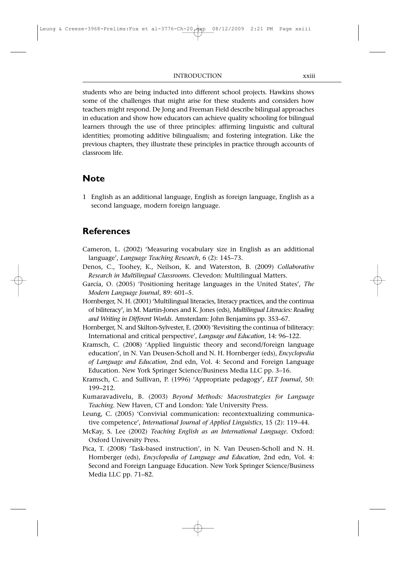# INTRODUCTION xxiii

students who are being inducted into different school projects. Hawkins shows some of the challenges that might arise for these students and considers how teachers might respond. De Jong and Freeman Field describe bilingual approaches in education and show how educators can achieve quality schooling for bilingual learners through the use of three principles: affirming linguistic and cultural identities; promoting additive bilingualism; and fostering integration. Like the previous chapters, they illustrate these principles in practice through accounts of classroom life.

# **Note**

1 English as an additional language, English as foreign language, English as a second language, modern foreign language.

# **References**

Cameron, L. (2002) 'Measuring vocabulary size in English as an additional language', *Language Teaching Research*, 6 (2): 145–73.

- Denos, C., Toohey, K., Neilson, K. and Waterston, B. (2009) *Collaborative Research in Multilingual Classrooms.* Clevedon: Multilingual Matters.
- García, O. (2005) 'Positioning heritage languages in the United States', *The Modern Language Journal*, 89: 601–5.
- Hornberger, N. H. (2001) 'Multilingual literacies, literacy practices, and the continua of biliteracy', in M. Martin-Jones and K. Jones (eds), *Multilingual Literacies: Reading and Writing in Different Worlds*. Amsterdam: John Benjamins pp. 353–67.
- Hornberger, N. and Skilton-Sylvester, E. (2000) 'Revisiting the continua of biliteracy: International and critical perspective', *Language and Education*, 14: 96–122.
- Kramsch, C. (2008) 'Applied linguistic theory and second/foreign language education', in N. Van Deusen-Scholl and N. H. Hornberger (eds), *Encyclopedia of Language and Education*, 2nd edn, Vol. 4: Second and Foreign Language Education. New York Springer Science/Business Media LLC pp. 3–16.
- Kramsch, C. and Sullivan, P. (1996) 'Appropriate pedagogy', *ELT Journal*, 50: 199–212.
- Kumaravadivelu, B. (2003) *Beyond Methods: Macrostrategies for Language Teaching.* New Haven, CT and London: Yale University Press.
- Leung, C. (2005) 'Convivial communication: recontextualizing communicative competence', *International Journal of Applied Linguistics*, 15 (2): 119–44.
- McKay, S. Lee (2002) *Teaching English as an International Language.* Oxford: Oxford University Press.
- Pica, T. (2008) 'Task-based instruction', in N. Van Deusen-Scholl and N. H. Hornberger (eds), *Encyclopedia of Language and Education*, 2nd edn, Vol. 4: Second and Foreign Language Education. New York Springer Science/Business Media LLC pp. 71–82.